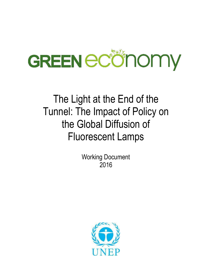

# The Light at the End of the Tunnel: The Impact of Policy on the Global Diffusion of Fluorescent Lamps

Working Document 2016

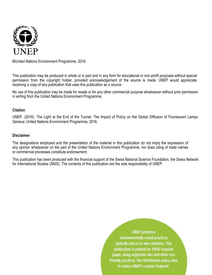

**©**United Nations Environment Programme, 2016

This publication may be produced in whole or in part and in any form for educational or non-profit purposes without special permission from the copyright holder, provided acknowledgement of the source is made. UNEP would appreciate receiving a copy of any publication that uses this publication as a source.

No use of this publication may be made for resale or for any other commercial purpose whatsoever without prior permission in writing from the United Nations Environment Programme.

# **Citation**

UNEP. (2016). The Light at the End of the Tunnel: The Impact of Policy on the Global Diffusion of Fluorescent Lamps. Geneva: United Nations Environment Programme, 2016.

#### **Disclaimer**

The designations employed and the presentation of the material in this publication do not imply the expression of any opinion whatsoever on the part of the United Nations Environment Programme, nor does citing of trade names or commercial processes constitute endorsement.

This publication has been produced with the financial support of the Swiss National Science Foundation, the Swiss Network for International Studies (SNIS). The contents of this publication are the sole responsibility of UNEP.

> **UNEP** promotes environmentally sound practices globally and in its own activities. This publication is printed on 100% recycled paper, using vegetable inks and other ecofriendly practices. Our distribution policy aims to reduce UNEP's carbon footprint.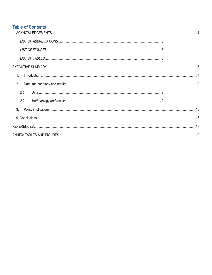# **Table of Contents**

| 2.  |  |
|-----|--|
| 2.1 |  |
| 2.2 |  |
| 3.  |  |
|     |  |
|     |  |
|     |  |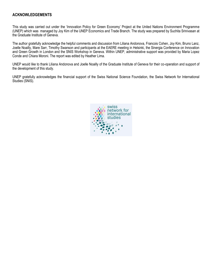## <span id="page-3-0"></span>**ACKNOWLEDGEMENTS**

This study was carried out under the 'Innovation Policy for Green Economy' Project at the United Nations Environment Programme (UNEP) which was managed by Joy Kim of the UNEP Economics and Trade Branch. The study was prepared by Suchita Srinivasan at the Graduate Institute of Geneva.

The author gratefully acknowledge the helpful comments and discussion from Liliana Andonova, Francois Cohen, Joy Kim, Bruno Lanz, Joelle Noailly, Mare Sarr, Timothy Swanson and participants at the EAERE meeting in Helsinki, the Sinergia Conference on Innovation and Green Growth in London and the SNIS Workshop in Geneva. Within UNEP, administrative support was provided by Maria Lopez Conde and Chiara Moroni. The report was edited by Heather Lima.

UNEP would like to thank Liliana Andonova and Joelle Noailly of the Graduate Institute of Geneva for their co-operation and support of the development of this study.

UNEP gratefully acknowledges the financial support of the Swiss National Science Foundation, the Swiss Network for International Studies (SNIS).

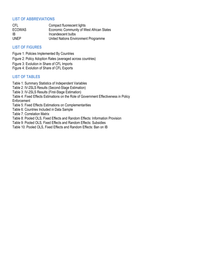# <span id="page-4-0"></span>**LIST OF ABBREVIATIONS**

| CFL           | Compact fluorescent lights                |
|---------------|-------------------------------------------|
| <b>ECOWAS</b> | Economic Community of West African States |
| IB            | Incandescent bulbs                        |
| UNEP          | United Nations Environment Programme      |

# <span id="page-4-1"></span>**LIST OF FIGURES**

<span id="page-4-2"></span>Figure 1: Policies Implemented By Countries Figure 2: Policy Adoption Rates (averaged across countries) Figure 3: Evolution in Share of CFL Imports Figure 4: Evolution of Share of CFL Exports

# **LIST OF TABLES**

Table 1: Summary Statistics of Independent Variables Table 2: IV-2SLS Results (Second-Stage Estimation) Table 3: IV-2SLS Results (First-Stage Estimation) Table 4: Fixed Effects Estimations on the Role of Government Effectiveness in Policy **Enforcement** Table 5: Fixed Effects Estimations on Complementarities Table 6: Countries Included in Data Sample Table 7: Correlation Matrix Table 8: Pooled OLS, Fixed Effects and Random Effects: Information Provision Table 9: Pooled OLS, Fixed Effects and Random Effects: Subsidies Table 10: Pooled OLS, Fixed Effects and Random Effects: Ban on IB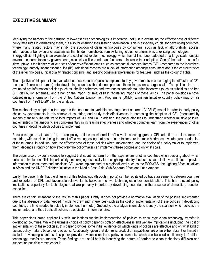# <span id="page-5-0"></span>**EXECUTIVE SUMMARY**

Identifying the barriers to the diffusion of low-cost clean technologies is imperative, not just in evaluating the effectiveness of different policy measures in dismantling them, but also for ensuring their faster dissemination. This is especially crucial for developing countries, where many related factors may inhibit the adoption of clean technologies by consumers, such as lack of afford-ability, access, information, or behavioural characteristics that hinder households from switching to cleaner alternatives to existing technologies. Energy-efficient lighting is an example of a cost-effective clean technology, which has still not been adopted on a large scale, despite several measures taken by governments, electricity utilities and manufacturers to increase their adoption. One of the main reasons for slow uptake is the higher relative prices of energy-efficient lamps such as compact fluorescent lamps (CFL) compared to the incumbent technology, namely incandescent bulbs (IB). Additional reasons are a lack of information amongst consumers about the characteristics of these technologies, initial quality related concerns, and specific consumer preferences for features (such as the colour of light).

The objective of this paper is to evaluate the effectiveness of policies implemented by governments in encouraging the diffusion of CFL (compact fluorescent lamps) into developing countries that do not produce these lamps on a large scale. The policies that are evaluated are information policies (such as labelling schemes and awareness campaigns), price incentives (such as subsidies and free CFL distribution schemes), and a ban on the import (or sale) of IB in facilitating imports of these lamps. The paper develops a novel dataset using information from the United Nations Environment Programme (UNEP) Enlighten Initiative country policy map on 72 countries from 1993 to 2013 for the analysis.

The methodology adopted in the paper is the instrumental variable two-stage least squares (IV-2SLS) model in order to study policy choice by governments in this sample of countries, and study their effectiveness in increasing the adoption of CFL (measured by imports of these bulbs relative to total imports of CFL and IB). In addition, the paper also tries to understand whether multiple policies, implemented simultaneously, are complementary in increasing effectiveness and whether countries learn from the experiences of other countries in deciding which policies to implement.

Results suggest that each of the three policy options considered is effective in ensuring greater CFL adoption in this sample of countries, with subsidies being the most effective suggesting that cost-related factors are the main hindrance towards greater adoption of these lamps. In addition, both the effectiveness of these policies when implemented, and the choice of a policymaker to implement them, depends strongly on how effectively the policymaker can implement these policies and on what scale.

The paper also provides evidence to suggest that countries learn from the experiences of other countries when deciding about which policies to implement. This is particularly encouraging, especially for the lighting industry, because several initiatives initiated to provide information to consumers and subsidise CFL, were implemented at a regional level such as the ECOWAS, the Lighting Africa initiatives in Africa and the UNEP Enlighten Initiative in the Middle-East, Asia, Sub-Saharan Africa and Latin America.

Lastly, the paper finds that the diffusion of this technology (through imports) can be facilitated by trade agreements between countries and exporters of CFL and favourable relative tariffs between the two technologies under consideration. This has relevant policy implications, especially for technologies that are primarily imported by developing countries, in the absence of domestic production capacities.

There are certain limitations to the results of this paper. Firstly, it does not provide a normative evaluation of the policies implemented due to the absence of data needed in order to draw such inferences (such as the cost of implementation of these policies in developing countries, the time needed to actually implement them, etc.). Secondly, the analysis is unable to identify the scale on which policies are implemented, and thus treats all policies as equivalent in terms of size.

This paper finds broad applicability with implications for the implementation of policies to encourage clean technology transfer in developing countries. While the ultimate choice of policy depends both on effectiveness and welfare implications (including the cost of implementation of these policies), this paper provides some initial evidence on which kinds of policies are effective and on what kind of factors policy makers base their decisions. Additionally, given that domestic production capabilities are often either absent or limited in scale in developing countries, this paper provides evidence on trade-policy instruments, which can be used additionally to facilitate technology-transfer via imports. These findings are useful both in identifying the nature of barriers to clean technology diffusion and suggesting possible remedies for it.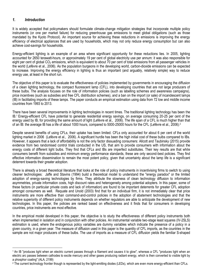# <span id="page-6-0"></span>*1. Introduction*

 $\overline{\phantom{a}}$ 

It is widely accepted that policymakers should formulate climate-change mitigation strategies that incorporate multiple policy instruments (or one per market failure) for reducing greenhouse gas emissions to meet global obligations (such as those mandated by the Kyoto Protocol). An important source for achieving these reductions in emissions is improving the energy efficiency of electrical appliances that are used by households, which may not only reduce energy consumption but can also achieve cost-savings for households.

Energy-efficient lighting is an example of an area where significant opportunity for these reductions lies. In 2005, lighting accounted for 2650 terawatt-hours, or approximately 19 per cent of global electricity use per annum: it was also responsible for eight per cent of global  $CO<sub>2</sub>$  emissions, which is equivalent to about 70 per cent of total emissions from all passenger vehicles in the world (Lefèvre et al., 2006). As the population burgeons in the developing world, carbon-dioxide emissions can be expected to increase. Improving the energy efficiency in lighting is thus an important (and arguably, relatively simple) way to reduce energy use, at least in the short run.

The objective of this paper is to evaluate the effectiveness of policies implemented by governments in encouraging the diffusion of a clean lighting technology, the compact fluorescent lamp (CFL), into developing countries that are not large producers of these bulbs. The analysis focuses on the role of information policies (such as labelling schemes and awareness campaigns), price incentives (such as subsidies and free CFL distribution schemes), and a ban on the import (or sale) of incandescent lamps (IB) in facilitating imports of these lamps. The paper conducts an empirical estimation using data from 72 low and middle income countries from 1993 to 2013.

There have been several improvements in lighting technologies in recent times. The traditional lighting technology has been the IB.<sup>1</sup> Energy-efficient CFL have potential to generate residential energy savings, on average consuming 20-25 per cent of the energy used by IB, for providing the same amount of light (Lefèvre et al., 2006). The life span of a CFL is much higher than that of an IB: the average IB has a life of about 1000 hours, compared to 5000-25000 hours for the CFL (Lefèvre et al., 2006).<sup>2</sup>

Despite several benefits of using CFLs, their uptake has been limited. CFLs only accounted for about 6 per cent of the world lighting market in 2006 (Lefèvre et al., 2006). A significant hurdle has been the high initial cost of these bulbs compared to IBs. However, it appears that a lack of affordability is not the only factor dissuading consumers: Allcott and Taubinsky (2015) provide evidence from two randomised control trials conducted in the US, that aim to provide consumers with information about the energy costs of different light bulbs. They find that CFLs and IBs are imperfect substitutes. Their key results are that while consumers benefit from subsidies and minimum energy performance standards, these are only second-best policies. They find effective information dissemination to remain the most potent policy, given that uncertainty about the lamp life is a significant deterrent towards their greater adoption.

There is already a broad theoretical literature that looks at the role of policy instruments in incentivising firms to switch to using cleaner technologies: Jaffe and Stavins (1994) build a theoretical model to understand the "energy paradox" or the limited adoption of energy-saving technologies by firms. They attribute the slowness of clean technology diffusion to information asymmetries, private information costs, high discount rates and heterogeneity among potential adopters. In this paper, some of these factors (in particular private costs and lack of information) are found to be important deterrents for greater CFL adoption amongst consumers as well. Requate and Unold (2003) find that for an individual firm, it is not immediately clear that price instruments are more effective than command-and-control policies in the adoption of abatement technologies and that the relative superiority of different policy instruments depends on whether regulators are able to anticipate the development of new technologies. In this paper, the policies are ranked based on effectiveness and it finds that for consumers in developing countries, price instruments are most effective.

In the empirical model developed in this paper, the objective is to study the effectiveness of different policy instruments both when implemented in isolation and in conjunction with other policies. An instrumental variable two-stage least squares (IV-2SLS) estimation is used, where the endogenous policy variables are dummy variables which indicate the presence of a policy in a given country, in a given year. The measure of diffusion used in this paper is the quantity of CFL imports, as the countries in the sample are not major producers of these bulbs. The use of imports as a measure of CFL diffusion yields the familiar S-shaped

<sup>1</sup> An IB "produces light when an electric current passes through a filament and causes it to glow", whereas a CFL "produces light when an electric arc passes between cathodes to excite mercury and other gases producing radiant energy, which is then converted to visible light by a phosphor coating" (ALA, 2199)

<sup>&</sup>lt;sup>2</sup> The current technology frontier though is represented by the light-emitting diodes (LEDs), which are even more energy-efficient than CFLs.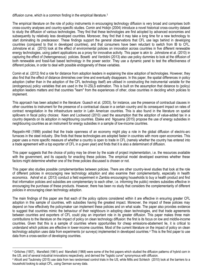diffusion curve, which is a common finding in the empirical literature.<sup>3</sup>

The empirical literature on the role of policy instruments in encouraging technology diffusion is very broad and comprises both cross-country analyses and country-specific studies. Comin and Hobijn (2004) introduce a novel historical cross-country dataset to study the diffusion of various technologies. They find that these technologies are first adopted by advanced economies and subsequently by relatively less developed countries. Moreover, they find that it may take a long time for a new technology to start dominating its predecessor. These findings support the general observations that CFL use lags behind in developing countries (compared to that in developed countries), and that consumers have been reluctant to switch from IB to CFL. Johnstone et al. (2010) look at the effect of environmental policies on innovation across countries in five different renewable energy technologies, using patent applications as a proxy for innovative activity. This paper is akin to Johnstone et al. (2010) in capturing the effect of (heterogeneous) policies. Bosetti and Verdolini (2013) also use policy dummies to look at the diffusion of both renewable and fossil-fuel based technology in the power sector. They use a dynamic panel to test the effectiveness of different policies, in order to deal with possible endogeneity of these variables.

Comin et al. (2012) find a role for distance from adoption leaders in explaining the slow adoption of technologies. However, they also find that the effect of distance diminishes over time and eventually disappears. In this paper, the spatial differences in policy adoption (rather than in the adoption of the CFL technology itself) are utilised in constructing the instrumental variable for the (endogenous) policy variables that are used in the IV-2SLS estimation. This is built on the assumption that distance to (policy) adoption leaders matters and that countries "learn" from the experiences of other, close countries in deciding which policies to implement.

This approach has been adopted in the literature: Guasch et al. (2003), for instance, use the presence of contractual clauses in other countries to instrument for the presence of a contractual clause in a certain country and its consequent impact on rates of contract renegotiation in the infrastructure sector in Latin American countries. This is also found in the literature on spatial spillovers in fiscal policy choices: Keen and Lockwood (2010) used the assumption that the adoption of value-added tax in a country depends on its adoption in neighbouring countries. Ebeke and Ngouana (2015) propose the use of energy subsidies in neighbouring countries as an instrument for energy subsidies in a sample of low-income countries.

Reppelin-Hill (1999) posited that the trade openness of an economy might play a role in the global diffusion of electric-arc furnaces in the steel industry. She finds that these technologies are adopted faster in countries with more open economies. This paper uses a more specific measure of whether a country is open to trade in CFL (namely whether the country has entered into a trade agreement with a top exporter of CFL in a given year) and finds that it is also a determinant of diffusion.

This paper suggests that the choice of policy may be driven by the scale of project implementation, i.e. the resources available with the government, and its capacity for enacting these policies. The empirical model developed examines whether these factors might determine whether one of the three policies discussed is chosen or not.

This paper also studies possible complementarities between policies. There are other country-level studies that look at the role of different policies in encouraging new technology adoption and also examine their complementarity, especially in health economics. Ashraf et al. (2013) conduct a field experiment in Zambia encouraging households to buy a health product and find that information policies and subsidies are complementary to each other, i.e. informing the public) renders subsidies effective in encouraging the purchase of these products. However, there has been no study that considers the complementarity of different policies in encouraging clean technology adoption.

The main findings of this paper are that each of the policy options considered within it are effective in ensuring greater CFL adoption in this sample of countries, with subsidies having the greatest impact. Moreover, the impact of these policies may depend on how effectively the policymaker can implement these policies and on what scale. The paper also provides evidence to suggest that countries mimic the behaviour of their neighbours in adopting clean technologies, and that trade agreements between countries and exporters of CFL could play an important role in its greater diffusion. This paper makes three main contributions to the literature on the impact of policy on clean technology diffusion: the first is its focus on low and middle-income countries. Given that this is a sample of countries where opportunities for cheap emissions-abatement lie, it is critical to understand which policies are effective in lower-income countries. Most of the current literature on the impact of policy on clean technology adoption uses data from experiments (or surveys) implemented in developed countries.<sup>4</sup> This is the first paper to use data from a cross-section of developing countries.

 $\overline{\phantom{a}}$ 

<sup>3</sup> Griliches (1957), Mansfield (1961) and Mansfield (1968) were some of the first papers which studied the diffusion patterns of hybrid corn in the US, and of several industrial innovations respectively, and derived the "logistic curve" synonymous with diffusion.

<sup>4</sup> Allcott and Taubinsky (2015) use data from two randomised control trials in the US, while Mills and Schleich (2010) look at the barriers to a household looking to adopt CFL, using German survey data.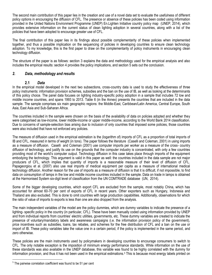The second main contribution of this paper lies in the creation and use of a novel data set to evaluate the usefulness of different policy options in encouraging the diffusion of CFL. The presence or absence of these policies has been coded using information provided in the United Nations Environment Programme (UNEP) En.Lighten Initiative country policy map (UNEP, 2014), which provides extensive information on the current status of clean lighting adoption in several countries, along with a list of the policies that have been adopted to encourage greater use of CFL.

The final contribution of this paper lies in its findings about possible complementarity of these policies when implemented together, and thus a possible implication on the sequencing of policies in developing countries to ensure clean technology adoption. To my knowledge, this is the first paper to draw on the complementarity of policy instruments in encouraging clean technology diffusion.

The structure of the paper is as follows: section 3 explains the data and methodology used for the empirical analysis and also includes the empirical results: section 4 provides the policy implications, and section 5 sets out the conclusion.

# <span id="page-8-0"></span>*2. Data, methodology and results*

#### <span id="page-8-2"></span>**2.1** *Data*

<span id="page-8-1"></span>In the empirical model developed in the next two subsections, cross-country data is used to study the effectiveness of three policy instruments: information provision schemes, subsidies and the ban on the use of IB, as well as looking at the determinants of this policy choice. The panel data focuses on lighting industry-specific policy adoption in a sample that includes 72 low and middle income countries, and spans 1993 to 2013. Table 6 (in the Annex) presents the countries that are included in the data sample. The sample comprises six main geographic regions: the Middle-East, Caribbean/Latin America, Central Europe, South Asia, East Asia and Sub-Saharan Africa.

The countries included in the sample were chosen on the basis of the availability of data on policies adopted and whether they were categorised as low-income, lower middle-income or upper middle-income, according to the World Bank 2014 classification. Due to concerns of sample-selection bias arising due to inclusion of only countries that imposed some policies, those countries were also included that have not enforced any policies.

The measure of diffusion used in the empirical estimation is the (logarithm of) imports of CFL as a proportion of total imports of IB and CFL, measured in terms of weight (in tons). The paper follows the literature (Caselli and Coleman, 2001) in using imports as a measure of diffusion. Caselli and Coleman (2001) use computer imports per worker as a measure of the cross- country diffusion of technology, and justify its use on the grounds that the computer industry is concentrated, with only a few countries providing most of the world's computer output. Technology diffusion in this case takes place through imports of the equipment embodying the technology. This argument is valid in this paper as well: the countries included in the data sample are not major producers of CFL, which implies that quantity of imports is a reasonable measure of their level of diffusion of CFL. Papageorgiou et al. (2007) also use real imports of medical equipment per capita as a measure of international medical technology diffusion. Another reason for the use of imports as a measure of diffusion is that it is difficult, if not impossible, to find data on consumption of lamps in the low and middle income countries included in the sample. Data on trade in lamps is obtained at the Harmonised System six-digit level of classification from the UN COMTRADE database (UN, 2014).

Some of the bigger developing countries, which export CFL are excluded from the sample, most notably China, which has accounted for almost 60-70 per cent of exports of CFL in recent years. Other exporters such as Hungary, Indonesia and Thailand are also excluded. This is done to omit countries with large production capabilities. Additionally, observations for which the ratio of value of imports to exports is less than one are also dropped from the analysis.

The main independent variables of the model are the policy dummies, which are dummy variables to indicate the presence of a lighting- specific policy in the country (in particular, CFL). These have been manually coded using information provided by UNEP and from individual reports from countries' electric utilities, governments, etc. These dummy variables are created to indicate the presence of voluntary/mandatory labels and awareness campaigns (i.e. the information provision policy of the government), price incentives such as subsidies, loans, tax rebates, and schemes for the free distribution of CFL and a ban on the use or import of IB. These policy variables take the value one in a certain period, if the policy is implemented in the same period, and zero otherwise.

These policies are the main instruments used by policymakers in developing countries to encourage consumers to switch to CFL. The only notable exception is the imposition of minimum energy performance standards. While information on the use of these standards was also available in the UNEP database, this variable was found to be highly correlated with the dummy for information provision, and thus it has not been used in the empirical estimations.<sup>5</sup> This is because most energy labels printed on

l

<sup>&</sup>lt;sup>5</sup> The pairwise correlation coefficient was found to be 51 per cent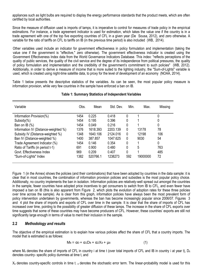appliances such as light bulbs are required to display the energy performance standards that the product meets, which are often certified by local authorities.

Since the measure of diffusion used is imports of lamps, it is imperative to control for measures of trade policy in the empirical estimations. For instance, a trade agreement indicator is used for estimation, which takes the value one if the country is in a trade agreement with one of the top five exporting countries of CFL in a given year (De Sousa, 2012), and zero otherwise. A variable for the ratio of tariffs on CFL to tariffs on IB (in the previous time period) is also included [\(WB, 2014\)](#page-16-0).

Other variables used include an indicator for government effectiveness in policy formulation and implementation (taking the value one if the government is "effective," zero otherwise). The government effectiveness indicator is created using the Government Effectiveness Index data from the World Governance Indicators Database. This index: "reflects perceptions of the quality of public services, the quality of the civil service and the degree of its independence from political pressures, the quality of policy formulation and implementation and the credibility of the government's commitment to such policies" [\(WB, 2012\)](#page-16-0). Additionally, in order to derive a measure of income that is more suited to the lighting industry, the "Sum-of-Lights" variable is used, which is created using night-time satellite data, to proxy for the level of development of an economy (NOAA, 2014).

Table [1](#page-8-0) below presents the descriptive statistics of the variables. As can be seen, the most popular policy measure is information provision, while very few countries in the sample have enforced a ban on IB.

| Variable                             | Obs. | Mean     | Std. Dev. | Min.     | Max.     | Missing |
|--------------------------------------|------|----------|-----------|----------|----------|---------|
| Information Provision(%)             | 1454 | 0.225    | 0.418     | 0        |          | 0       |
| Subsidy $(\%)$                       | 1454 | 0.195    | 0.396     |          |          | 0       |
| Ban on IB $(\%)$                     | 1454 | 0.049    | 0.216     | 0        |          | 0       |
| Information IV (Distance-weighted %) | 1376 | 1618.393 | 2203.139  | 0        | 13178    | 78      |
| Subsidy IV (Distance-weighted %)     | 1348 | 1640.106 | 2124.016  | 0        | 12198    | 106     |
| Ban IV (Distance-weighted %)         | 1400 | 387.857  | 1047.625  | $\Omega$ | 9030     | 54      |
| Trade Agreement Indicator (%)        | 1454 | 0.146    | 0.354     | 0        |          | 0       |
| Ratio of Tariffs (in period t-1)     | 691  | 0.900    | 0.480     | 0        | 5        | 763     |
| Govt. Effectiveness Index            | 969  | 0.209    | 0.407     | 0        | и        | 485     |
| "Sum-of-Lights" Index                | 1382 | 520766.1 | 1238273   | 592      | 19000000 | 72      |

#### **Table 1: Summary Statistics of Independent Variables**

Figure 1 (in the Annex) shows the policies (and their combinations) that have been adopted by countries in the data sample: it is clear that in most countries, the combination of information provision policies and subsidies is the most popular policy choice. Additionally, no country implements the ban in isolation. Information policies are relatively-well spread out amongst the countries in the sample, fewer countries have adopted price incentives to get consumers to switch from IB to CFL, and even fewer have imposed a ban on IB (this is also apparent from Figure 2, which plots the evolution of adoption rates for these three policies over time across the sample). As is clear from this graph, information policies have always been the most prevalent form of policy intervention undertaken by governments, whereas the ban has become increasingly popular since 2006/07. Figures 3 and 4 plot the share of imports and exports of CFL over time in the sample. It is clear that the share of imports of CFL has increased over time, pointing to the possibility of greater diffusion of these lamps. The increase in the share of CFL exports over time suggests that some of these countries may have become producers of CFL. However, these countries' exports are still not significantly large enough in terms of value to merit their inclusion in the sample.

# <span id="page-9-0"></span>**2.2** *Methodology and results*

The objective of the empirical estimation is to explain how various policies affect the share of CFL that a country imports. The model that is estimated is as follows:

$$
M_{it} = \alpha_0 + \alpha_1 D_{it} + \alpha_2 X_{it} + \mu_{it}
$$
 (1)

where  $M_{it}$  denotes the share of imports of CFL in country i at time t (over total imports of CFL and IB in country i at year t),  $D_{it}$ denotes country- specific policy dummies at time t, and

 $X_{it}$  denotes country-specific controls in time t.  $_{it}$  denotes the stochastic error term. The linear-probability model is used for this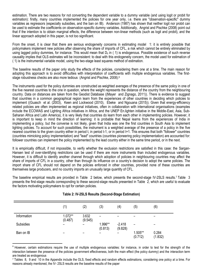estimation. There are two reasons for not converting the dependent variable to a dummy variable (and using logit or probit for estimation): firstly, many countries implemented the policies for one year only, i.e. there are "observation-specific" dummy variables as regressors (especially subsidies, and the ban on IB). Anderson (1987) has shown that neither logit nor probit can be used to estimate the coefficients on observation-specific dummy variables. Additionally, Angrist and Pischke (2008) point out that if the intention is to obtain marginal effects, the difference between non-linear methods (such as logit and probit), and the linear approach adopted in this paper, is not too significant.

From the onset, it is clear that there are serious endogeneity concerns in estimating model 1: it is entirely possible that policymakers implement new policies after observing the share of imports of CFL, a risk which cannot be entirely eliminated by using lagged policy dummies, for instance. This would mean that  $D_{it}$  in (1) is endogenous. Possible existence of such reverse causality implies that OLS estimates will be inconsistent: to deal with this endogeneity concern, the model used for estimation of ( 1) is the instrumental variable model, using the two-stage least squares method of estimation.

The baseline results of the paper only study the effects of the policies, considering them one at a time. The main reason for adopting this approach is to avoid difficulties with interpretation of coefficients with multiple endogenous variables. The firststage robustness checks are also more tedious (Angrist and Pischke, 2008).<sup>6</sup>

The instruments used for the policy dummies are constructed as weighted averages of the presence of the same policy in one of the five nearest countries to the one in question, where the weight represents the distance of the country from the neighbouring country. Data on distances are taken from the Geodist Database ((Mayer and Zignago, 2011)). There is evidence to suggest that countries in a common geographical region learn from the experiences of other countries in deciding which policies to implement ((Guasch et al. (2003), Keen and Lockwood (2010), Ebeke and Ngouana (2015)). Given that energy-efficiency related policies are often implemented as regional initiatives, often in collaboration with international organisations (examples include the ECOWAS and Lighting Africa initiatives in Africa, and the UNEP En.lighten initiative in the Middle-East, Asia, Sub-Saharan Africa and Latin America), it is very likely that countries do learn from each other in implementing policies. However, it is important to keep in mind the direction of learning: it is probable that Nepal learns from the experiences of India in implementing a policy, but the converse is not likely, given that India was one the first countries in South Asia to implement lighting policies. To account for such possibilities, the instrument is a weighted average of the presence of a policy in the five nearest countries to the given country either in period t, in period t-1, or in period t+1. This ensures that both "follower" countries (countries mimicking policy implementation) and "lead" countries (countries pioneering policy implementation) are accounted for: follower countries can implement the policy implemented by the lead country either in the same time period, or in the next.

It is empirically difficult, if not impossible, to verify whether the exclusion restrictions are satisfied in this case: the Sargan-Hansen test of over-identifying restrictions can be used if there are more instruments than included endogenous variables. However, it is difficult to identify another channel through which adoption of policies in neighbouring countries may affect the share of imports of CFL in a country, other than through its influence on a country's decision to adopt the same policies. The import share of CFL should not depend on the policies enforced in other countries, provided none of these countries are themselves large producers, and no country imports an unusually large quantity of CFL.

The baseline empirical results are provided in Table 2 below, which presents the second-stage IV-2SLS results.<sup>7</sup> Table [3](#page-8-2) presents the first-stage results corresponding to these second-stage results presented in Table 2, which are useful to evaluate the factors motivating policymakers to opt for certain policies.

|             | (1)                  | (2)              | (3)                | (4)                      | (5)                | (6)              |
|-------------|----------------------|------------------|--------------------|--------------------------|--------------------|------------------|
| Information | $1.072**$<br>(0.487) | 3.632<br>(9.545) |                    |                          |                    | -                |
| Subsidies   | -                    | -                | 1.996**<br>(0.813) | $-2.418$<br>(9.828)      | -                  |                  |
| Ban on IB   | -                    | -                | -                  | $\overline{\phantom{0}}$ | 1.505**<br>(0.712) | 0.284<br>(1.832) |

 $\overline{\phantom{a}}$ 

#### **Table 2: IV-2SLS Results (Second-Stage Estimation)**

<sup>&</sup>lt;sup>6</sup> However, certain estimations require the use of multiple endogenous variables: for instance, in order to test for the strength of the interaction between the presence of the policies government effectiveness, both the main effect (the policy dummy) and the interaction term are treated as endogenous

<sup>7</sup> Tables 8, 9 and 10 in the Appendix include the OLS, fixed effects and random effects estimations, considering one policy at a time. For reasons already mentioned, the IV- 2SLS results are the baseline results of the paper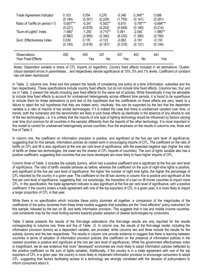| <b>Trade Agreement Indicator</b> | 0.103       | 0.054    | 0.276      | $-0.346$ | $0.349**$   | 0.098       |
|----------------------------------|-------------|----------|------------|----------|-------------|-------------|
|                                  | (0.194)     | (0.301)  | (0.226)    | (1.755)  | (0.141)     | (0.281)     |
| Ratio of Tariffs (in period t-1) | $-0.607***$ | $-0.341$ | $-0.502**$ | $-0.815$ | $-0.797***$ | $-0.684***$ |
|                                  | (0.221)     | (0.978)  | (0.252)    | (0.649)  | (0.180)     | (0.214)     |
| "Sum-of-Lights" Index            | $-1.680*$   | $-1.250$ | $-4.710**$ | 0.091    | $-2.040$    | $-1.980**$  |
|                                  | (0.962)     | (2.950)  | (2.340)    | (8.230)  | (1.380)     | (0.780)     |
| Govt. Effectiveness Index        | 0.030       | 0.176    | $-0.123$   | $-0.062$ | $-0.161$    | $-0.133$    |
|                                  | (0.145)     | (0.816)  | (0.167)    | (0.318)  | (0.131)     | (0.144)     |
| Observations                     | 455         | 455      | 437        | 437      | 443         | 443         |
| Year Fixed Effects               | No          | Yes      | No         | Yes      | No          | Yes         |

Notes: Dependent variable is share of CFL imports (in logarithm). Country fixed effects included in all estimations. Clusterrobust standard errors in parentheses. , and respectively denote significance at 10%, 5% and 1% levels. Coefficient of constant has not been reproduced.

In Table 2, columns one, three and five present the results of considering one policy at a time (information, subsidies and the ban respectively). These specifications include country fixed effects, but do not include time fixed effects. Columns two, four and six in Table 2 present the results including year fixed effects for the same set of policies. While theoretically it may be advisable to include time fixed effects to account for unobserved heterogeneity across different time periods, it is found to be superfluous to include them for these estimations (a joint test of the hypothesis that the coefficients on these effects are zero, leads to a failure to reject the null hypothesis that they are indeed zero). Intuitively, this can be supported by the fact that the dependent variable is a ratio of imports of two similar technologies: if it is indeed the case that there is unobserved variation over time, or trends, both the numerator and the denominator are likely to pick these effects up identically in the absence of any shocks to one of the two technologies, i.e. it is unlikely that the imports of one type of lighting technology would be influenced by factors varying over time (but common for all countries in the sample) differently from the imports of the other technology. It is more important in this model to control for unobserved heterogeneity across countries, thus the emphasis on the results in columns one, three and five of Table 2.

In column one, the coefficient on information provision is positive, and significant at the five per cent level of significance, suggesting that for this sample, information policies do indeed work in encouraging imports of CFL. The coefficient on the ratio of tariffs on CFL and IB is also significant at the one per cent level of significance, with the expected negative sign (higher the ratio of tariffs on these two technologies, the lower are the shares of CFL imports of countries). The sum of lights variable also has a positive coefficient, suggesting that countries that are more developed are more likely to have higher imports of CFL.

Column three of Table 2 includes the subsidy dummy, which has a positive coefficient and is significant at the five per cent level of significance. The ratio of tariffs variable behaves as before, whereas the coefficient on the sum of night-time lights is positive, and significant at the five per cent level of significance: the higher the number of night time lights, the higher the percentage of CFL imported by the country in a given year. The coefficient on the IB ban dummy in column five is positive and significant at the five per cent level of significance, suggesting that, not surprisingly, the imposition of a ban on IB forces countries to import more CFL. In this specification, the trade agreement indicator is also significant at the five per cent level of significance, with a positive coefficient: if the country enters a trade agreement with one of the top exporters of CFL in a given year, it is more likely to import a larger proportion of CFL in that year.

While there is no specification which includes these policy dummies all together, a comparison of the magnitudes of the coefficients of the policy dummies from these three models suggests that subsidies are the "most effective" policy instrument for this sample, followed by the ban on IB, and lastly information provision. This suggests that in low and middle income countries, cost constraints may be the most limiting barriers towards greater adoption of cleaner technologies by consumers.

Table [3](#page-8-2) below presents the results of the first-stage estimations (the first-stage results are only reported for the results corresponding to columns one, three and five of Table 2). In column one, the results of the first-stage model, including the information provision dummy as a dependent variable, are provided, while columns two and three include the results for the subsidy dummy and the ban respectively. The results in column one provide evidence to suggest that there is learning between countries in terms of adoption of information provision policies (the coefficient on the presence of information policies in the nearest countries is positive and significant at the one per cent level of significance). While the government effectiveness index is insignificant, we do see evidence that more "developed" economies are more likely to adopt information policies (reflected by the positive coefficient on the sum of lights variable). Additionally, if the country is in a trade agreement with one of the top exporters of CFL in a given year, the country is more likely to implement information provision to encourage consumers to adopt CFL, suggesting that factors facilitating access to a technology are strongly correlated with the decision of policymakers to inform consumers about it.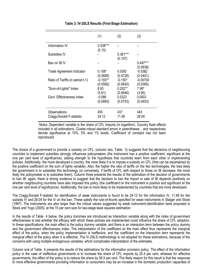|                                  | (1)                | (2)                   | (3)                    |
|----------------------------------|--------------------|-----------------------|------------------------|
| Information IV                   | 0.538***<br>(0.15) |                       |                        |
| Subsidies IV                     |                    | $0.361***$<br>(0.107) |                        |
| Ban on IB IV                     |                    |                       | $0.497***$<br>(0.0938) |
| <b>Trade Agreement Indicator</b> | $0.158*$           | 0.0392                | $-0.0382$              |
|                                  | (0.0685)           | (0.0726)              | (0.0441)               |
| Ratio of Tariffs (in period t-1) | $-0.193**$         | $-0.150*$             | $-0.00704$             |
|                                  | (0.0592)           | (0.0642)              | (0.0385)               |
| "Sum-of-Lights" Index            | 8.93               | $0.202**$             | $7.99*$                |
|                                  | (5.61)             | (0.0646)              | (3.95)                 |
| Govt. Effectiveness Index        | $-0.086$           | 0.0323                | 0.0503                 |
|                                  | (0.0893)           | (0.0753)              | (0.0453)               |
| Observations                     | 455                | 437                   | 443                    |
| Cragg-Donald F-statistic         | 24.12              | 11.48                 | 28.04                  |

#### **Table 3: IV-2SLS Results (First-Stage Estimation)**

*Notes*: Dependent variable is the share of CFL imports (in logarithm). Country fixed effects included in all estimations. Cluster-robust standard errors in parentheses. , and respectively denote significance at 10%, 5% and 1% levels. Coefficient of constant has not been reproduced.

The choice of a government to provide a subsidy on CFL, (column two, Table [3](#page-8-2)) suggests that the decisions of neighbouring countries to implement subsidies strongly influences policymakers (the instrument has a positive coefficient, significant at the one per cent level of significance), adding strength to the hypothesis that countries learn from each other in implementing policies. Additionally, the more developed a country, the more likely it is to impose a subsidy on CFL (that can be ascertained by the positive coefficient on the sum of lights variable). Also, the higher the ratio of tariffs on the two technologies, the less likely the government is to subsidise this technology (or conversely, if tariffs of CFL with respect to those on IB decrease, the more likely the policymaker is to subsidise them). Column three presents the results of the estimation of the decision of governments to ban IB: again, there is strong evidence to suggest that the decision to ban the import or sale of IB depends positively on whether neighbouring countries have also imposed this policy (the coefficient on the instrument is positive and significant at the one per cent level of significance). Additionally, the ban is more likely to be implemented by countries that are more developed.

The Cragg-Donald F-statistic for identification of weak instruments is found to be 24.12 for the information IV, 11.48 for the subsidy IV and 28.04 for the IV on the ban. These satisfy the rule-of-thumb specified for weak instruments in Staiger and Stock (1997). The instruments are also larger than the critical values suggested by weak instrument-identification tests proposed in Stock and Yogo (2005), at the 15 per cent size for two-stage least squares estimation.

In the results of Table 4 below, the policy dummies are introduced as interaction variable along with the index of government effectiveness to test whether the efficacy with which these policies are implemented could influence the share of CFL adoption. In these specifications, the main effect is the policy dummy variable, and there is an interaction term between the policy dummy and the government effectiveness index. The interpretation of the coefficient on the main effect thus represents the marginal effect of the policy, when the policy implementation is ineffective, and the coefficient on the interaction term represents the marginal effect of the policy when it is effective. The IV-2SLS methodology is not adopted for these estimations, because of the concerns with using multiple endogenous variables, which complicates interpretation of the estimates.

Column one of Table 4 presents the results of the estimations for the information provision policy. The effect of the information policy in the case of ineffective governments is to increase the share of CFL imports by 20.4 per cent, whereas for effective governments, the effect of the policy is to reduce the share by 56.5 per cent. The likely reason for this result is that the response to more effective governments providing information to consumers may be an increase in the domestic production capacities of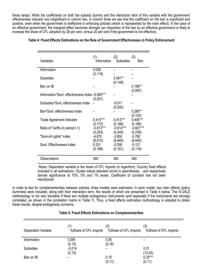these lamps. While the coefficients on both the subsidy dummy and the interaction term of this variable with the government effectiveness indicator are insignificant in column two, in column three we see that the coefficient on the ban is significant and positive, even when the government is ineffective in enforcing policies (which is represented by the main effect). In the case of an effective government, the marginal effect becomes stronger (an imposition of the ban by an effective government is likely to increase the share of CFL adoption by 28 per cent, versus 20 per cent if the government is not effective).

| Table 4: Fixed Effects Estimations on the Role of Government Effectiveness in Policy Enforcement |
|--------------------------------------------------------------------------------------------------|
|--------------------------------------------------------------------------------------------------|

| Variables                                       | (1)<br>Information                | (2)<br><b>Subsidies</b>           | (3)<br>Ban                        |
|-------------------------------------------------|-----------------------------------|-----------------------------------|-----------------------------------|
| Information                                     | 0.039                             |                                   |                                   |
| Subsidies                                       | (0.118)                           | 2.481**<br>(0.149)                |                                   |
| Ban on IB                                       |                                   |                                   | $0.198**$                         |
| Information*Govt. effectiveness Index -0.565*** | (0.251)                           |                                   | (0.097)                           |
| Subsidies*Govt. effectiveness Index             |                                   | $-0.017$                          |                                   |
| Ban*Govt. effectiveness Index                   |                                   | (0.200)                           | $0.280**$<br>(0.153)              |
| Trade Agreement Indicator                       | $0.414***$                        | $0.413***$                        | 0.406***                          |
| Ratio of Tariffs (in period t-1)                | (0.172)<br>$-0.813***$<br>(0.253) | (0.166)<br>$-0.814***$<br>(0.245) | (0.166)<br>$-0.821***$<br>(0.239) |
| "Sum-of-Lights" Index                           | $-4.870$                          | $-3.850$                          | $-5.760$                          |
| Govt. Effectiveness Index                       | (6.010)<br>0.231<br>(0.189)       | (6.940)<br>$-0.058$<br>(0.151)    | (6.640)<br>$-0.121$<br>(0.119)    |
| Observations                                    | 480                               | 480                               | 480                               |

*Notes*: Dependent variable is the share of CFL imports (in logarithm). Country fixed effects included in all estimations. Cluster-robust standard errors in parentheses. , and respectively denote significance at 10%, 5% and 1% levels. Coefficient of constant has not been reproduced.

In order to test for complementarities between policies, three models were estimated. In each model, two main effects (policy dummies) were included, along with their interaction term, the results of which are presented in Table 5 below. The IV-2SLS methodology is not very tractable if there are multiple endogenous instruments (and especially if the instruments are strongly correlated, as shown in the correlation matrix in Table 7). Thus, a fixed effects estimation methodology is adopted to obtain these results, despite endogeneity concerns.

| Dependent Variable | (1)<br>%Share of CFL Imports | (2)<br>%Share of CFL Imports | (3)<br>%Share of CFL Imports |
|--------------------|------------------------------|------------------------------|------------------------------|
| Information        | 0.095<br>(0.15)              | 0.05<br>(0.16)               |                              |
| <b>Subsidies</b>   | $-0.014$<br>(0.13)           |                              | 0.31<br>(13.05)              |
| Ban on IB          |                              | 0.15<br>(0.11)               | $0.33***$<br>(0.11)          |

#### **Table 5: Fixed Effects Estimations on Complementarities**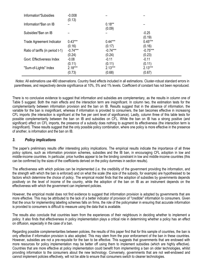| Information*Subsidies            | $-0.008$<br>(0.13) |                    |                   |
|----------------------------------|--------------------|--------------------|-------------------|
| Information*Ban on IB            |                    | $0.18**$<br>(0.09) |                   |
| Subsidies*Ban on IB              |                    |                    | $-0.25$<br>(0.19) |
| <b>Trade Agreement Indicator</b> | $0.43***$          | $0.44***$          | $0.45***$         |
|                                  | (0.16)             | (0.17)             | (0.16)            |
| Ratio of tariffs (in period t-1) | $-0.74***$         | $-0.74***$         | $-0.75***$        |
|                                  | (0.24)             | (0.24)             | (0.23)            |
| Govt. Effectiveness Index        | $-0.08$            | $-0.11$            | $-0.11$           |
|                                  | (0.11)             | (0.11)             | (0.11)            |
| "Sum-of-Lights" Index            | $2.18***$          | $2.13***$          | $2.13***$         |
|                                  | (0.73)             | (0.68)             | (0.67)            |

*Notes*: All estimations use 480 observations. Country fixed effects included in all estimations. Cluster-robust standard errors in parentheses, and respectively denote significance at 10%, 5% and 1% levels. Coefficient of constant has not been reproduced.

There is no conclusive evidence to suggest that information and subsidies are complementary, as the results in column one of Table 5 suggest. Both the main effects and the interaction term are insignificant. In column two, the estimation tests for the complementarity between information provision and the ban on IB. Results suggest that in the absence of information, the variable for the ban is insignificant, whereas if information is provided to consumers, the ban becomes effective in increasing CFL imports (the interaction is significant at the five per cent level of significance). Lastly, column three of this table tests for possible complementarity between the ban on IB and subsidies on CFL. While the ban on IB has a strong positive (and significant) effect on CFL imports, the presence of a subsidy does nothing to augment its effectiveness (the interaction term is insignificant). These results suggest that the only possible policy combination, where one policy is more effective in the presence of another, is information and the ban on IB.

#### <span id="page-14-0"></span>*3. Policy implications*

The paper's preliminary results offer interesting policy implications. The empirical results indicate the importance of all three policy options, such as information provision schemes, subsidies and the IB ban, in encouraging CFL adoption in low and middle-income countries. In particular, price hurdles appear to be the binding constraint in low and middle-income countries (this can be confirmed by the sizes of the coefficients derived on the policy dummies in section results).

The effectiveness with which policies can be implemented (i.e. the credibility of the government providing the information, and the strength with which the ban is enforced) and on what the scale (the size of the subsidy, for example) are hypothesised to be factors which determine the choice of policy. The empirical model finds that the adoption of subsidies by governments depends positively on the level of income of the country, while the adoption of the ban on IB as an instrument depends on the effectiveness with which the government can implement policies.

However, the empirical model does not find evidence to suggest that information provision is adopted by governments that are more effective. This may be attributed to the lack of a better indicator of provision of "credible" information to consumers. Given that the onus for implementing labelling schemes falls on firms, the role of the policymaker in ensuring that accurate information is provided to consumers is difficult to measure using the data that is available.

The results also conclude that countries learn from the experiences of their neighbours in deciding whether to implement a policy. It also finds that effectiveness in policy implementation plays a critical role in determining whether a policy has an effect on diffusion, especially in the case of a ban.

Regarding possible complementarities between policies, the results of this paper find that for this sample of countries, the ban is only effective if information provision is also adopted. This may stem from the poor enforcement of the ban in these countries. However, subsidies are not a pre-requisite for the ban to be effective. This suggests that governments that are endowed with more resources for policy implementation may be better off using them to implement subsidies (which are highly effective). Countries that are more effective at policy implementation could benefit from implementing a ban on older technologies, whilst providing information to the consumers about the new technology. Conversely, governments that are not well-endowed and cannot implement policies effectively, will not be able to ensure that consumers switch to cleaner technologies.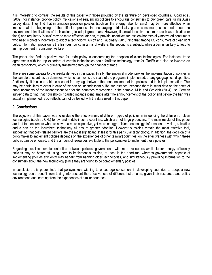It is interesting to contrast the results of this paper with those provided by the literature on developed countries. Coad et al. (2009), for instance, provide policy implications of sequencing policies to encourage consumers to buy green cars, using Swiss survey data. They find that information provision policies (such as the energy label for cars) may be more effective when imposed at the beginning of the diffusion process in encouraging intrinsically green consumers, concerned about the environmental implications of their actions, to adopt green cars. However, financial incentive schemes (such as subsidies or fines) and regulatory "sticks" may be more effective later on, to provide incentives for less environmentally-motivated consumers who need monetary incentives to adopt a technology. Allcott and Taubinsky (2015) find that among US consumers of clean light bulbs: information provision is the first-best policy in terms of welfare, the second is a subsidy, while a ban is unlikely to lead to an improvement in consumer welfare.

The paper also finds a positive role for trade policy in encouraging the adoption of clean technologies. For instance, trade agreements with the top exporters of certain technologies could facilitate technology transfer. Tariffs can also be lowered on clean technology, which is primarily transferred through the channel of trade.

There are some caveats to the results derived in this paper. Firstly, the empirical model proxies the implementation of policies in the sample of countries by dummies, which circumvents the scale of the programs implemented, or any geographical disparities. Additionally, it is also un-able to account for any lags between the announcement of the policies and their implementation. This may be particularly relevant in case of the ban on incandescent bulbs, for instance, because there is scant data on the dates of announcements of the incandescent ban for the countries represented in the sample. Mills and Schleich (2014) use German survey data to find that households hoarded incandescent lamps after the announcement of the policy and before the ban was actually implemented. Such effects cannot be tested with the data used in this paper.

#### <span id="page-15-0"></span>*9. Conclusions*

The objective of this paper was to evaluate the effectiveness of different types of policies in influencing the diffusion of clean technologies (such as CFL) to low and middle-income countries, which are not large producers. The main results of this paper are that for consumers who are new to a more expensive, yet more energy-efficient technology, information provision, subsidies and a ban on the incumbent technology all ensure greater adoption. However subsidies remain the most effective tool, suggesting that cost-related barriers are the most significant (at least for this particular technology). In addition, the decision of a policymaker to implement policies depends on the experiences of other (similar) countries, on the effectiveness with which these policies can be enforced, and the amount of resources available to the policymaker to implement these policies.

Regarding possible complementarities between policies, governments with more resources available for energy efficiency policies may be better off using them to implement subsidies, at least in the short-run, whereas governments capable of implementing policies efficiently may benefit from banning older technologies, and simultaneously providing information to the consumers about the new technology (since they are found to be complementary policies).

In conclusion, this paper finds that policymakers wishing to encourage consumers in developing countries to adopt a new technology could benefit from taking into account the effectiveness of different instruments, given their resources and policy environment, and learning from the experiences of similar countries.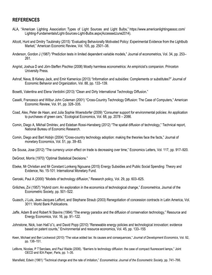# <span id="page-16-0"></span>**REFERENCES**

- ALA, "American Lighting Association: Types of Light Sources and Light Bulbs," https://www.americanlightingassoc.com/ Lighting-Fundamentals/Light-Sources-Light-Bulbs.aspx(AccessedJune2014).
- Allcott, Hunt and Dmitry Taubinsky (2015) "Evaluating Behaviorally Motivated Policy: Experimental Evidence from the Lightbulb Market," American Economic Review, Vol. 105, pp. 2501–38.
- Anderson, Gordon J (1987) "Prediction tests in limited dependent variable models," Journal of econometrics, Vol. 34, pp. 253– 261.
- Angrist, Joshua D and Jörn-Steffen Pischke (2008) Mostly harmless econometrics: An empiricist's companion. Princeton University Press.
- Ashraf, Nava, B Kelsey Jack, and Emir Kamenica (2013) "Information and subsidies: Complements or substitutes?" Journal of Economic Behavior and Organization, Vol. 88, pp. 133–139.
- Bosetti, Valentina and Elena Verdolini (2013) "Clean and Dirty International Technology Diffusion."
- Caselli, Francesco and Wilbur John Coleman (2001) "Cross-Country Technology Diffusion: The Case of Computers," American Economic Review, Vol. 91, pp. 328–335.
- Coad, Alex, Peter de Haan, and Julia Sophie Woersdorfer (2009) "Consumer support for environmental policies: An application to purchases of green cars," Ecological Economics, Vol. 68, pp. 2078 – 2086.
- Comin, Diego A, Mikhail Dmitriev, and Esteban Rossi-Hansberg (2012) "The spatial diffusion of technology," Technical report, National Bureau of Economic Research.
- Comin, Diego and Bart Hobijn (2004) "Cross-country technology adoption: making the theories face the facts," Journal of monetary Economics, Vol. 51, pp. 39–83.
- De Sousa, Jose (2012) "The currency union effect on trade is decreasing over time," Economics Letters, Vol. 117, pp. 917–920.
- DeGroot, Morris (1970) "Optimal Statistical Decisions."
- Ebeke, Mr Christian and Mr Constant Lonkeng Ngouana (2015) Energy Subsidies and Public Social Spending: Theory and Evidence, No. 15-101: International Monetary Fund.
- Geroski, Paul A (2000) "Models of technology diffusion," Research policy, Vol. 29, pp. 603–625.
- Griliches, Zvi (1957) "Hybrid corn: An exploration in the economics of technological change," *Econometrica*, Journal of the Econometric Society, pp. 501–522.
- Guasch, J Luis, Jean-Jacques Laffont, and Stephane Straub (2003) Renegotiation of concession contracts in Latin America, Vol. 3011: World Bank Publications.
- Jaffe, Adam B and Robert N Stavins (1994) "The energy paradox and the diffusion of conservation technology," Resource and Energy Economics, Vol. 16, pp. 91–122.
- Johnstone, Nick, Ivan Hašˇciˇc, and David Popp (2010) "Renewable energy policies and technological innovation: evidence based on patent counts," Environmental and resource economics, Vol. 45, pp. 133–155
- Keen, Michael and Ben Lockwood (2010) "The value added tax: Its causes and consequences," *Journal of Development Economics*, Vol. 92, pp. 138–151.
- Lefèvre, Nicolas, P T'Serclaes, and Paul Waide (2006). "Barriers to technology diffusion: the case of compact fluorescent lamps," Joint OECD and IEA Paper*,* Paris, pp. 1–35.

Mansfield, Edwin (1961) "Technical change and the rate of imitation," *Econometrica: Journal of the Econometric Society*, pp. 741–766.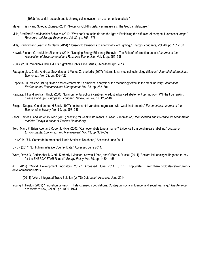(1968) "Industrial research and technological innovation; an econometric analysis."

Mayer, Thierry and Soledad Zignago (2011) "Notes on CEPII's distances measures: The GeoDist database."

- Mills, Bradford F and Joachim Schleich (2010) "Why don't households see the light?: Explaining the diffusion of compact fluorescent lamps," *Resource and Energy Economics*, Vol. 32, pp. 363– 378.
- Mills, Bradford and Joachim Schleich (2014) "Household transitions to energy efficient lighting," *Energy Economics*, Vol. 46, pp. 151–160.
- Newell, Richard G. and Juha Siikamaki (2014) "Nudging Energy Efficiency Behavior: The Role of Information Labels," *Journal of the Association of Environmental and Resource Economists*, Vol. 1, pp. 555–598.
- NOAA (2014) "Version 4 DMSP-OLS Nighttime Lights Time Series," Accessed April 2014.
- Papageorgiou, Chris, Andreas Savvides, and Marios Zachariadis (2007) "International medical technology diffusion," *Journal of International Economics*, Vol. 72, pp. 409–427.
- Reppelin-Hill, Valérie (1999) "Trade and environment: An empirical analysis of the technology effect in the steel industry," *Journal of Environmental Economics and Management*, Vol. 38, pp. 283–301.
- Requate, Till and Wolfram Unold (2003) "Environmental policy incentives to adopt advanced abatement technology:: Will the true ranking please stand up?" *European Economic Review*, Vol. 47, pp. 125–146.
- Staiger, Douglas O and James H Stock (1997) "Instrumental variables regression with weak instruments," *Econometrica, Journal of the Econometric Society*, Vol. 65, pp. 557–586.
- Stock, James H and Motohiro Yogo (2005) "Testing for weak instruments in linear IV regression," *Identification and inference for econometric models: Essays in honor of Thomas Rothenberg*.
- Teisl, Mario F, Brian Roe, and Robert L Hicks (2002) "Can eco-labels tune a market? Evidence from dolphin-safe labelling," *Journal of Environmental Economics and Management*, Vol. 43, pp. 339–359.
- UN (2014) "UN Comtrade International Trade Statistics Database," Accessed June 2014.

UNEP (2014) "En.lighten Initiative Country Data," Accessed June 2014.

Ward, David O, Christopher D Clark, Kimberly L Jensen, Steven T Yen, and Clifford S Russell (2011) "Factors influencing willingness-to-pay for the ENERGY STAR R label," *Energy Policy*, Vol. 39, pp. 1450–1458.

 WB (2012) "World Development Indicators 2012," Accessed June 2014, URL: [http://data.](http://data.worldbank.org/data-catalog/world-development-indicators) [worldbank.org/data-catalog/world](http://data.worldbank.org/data-catalog/world-development-indicators)[developmentindicators](http://data.worldbank.org/data-catalog/world-development-indicators).

(2014) "World Integrated Trade Solution (WITS) Database," Accessed June 2014.

 Young, H Peyton (2009) "Innovation diffusion in heterogeneous populations: Contagion, social influence, and social learning," *The American economic review*, Vol. 99, pp. 1899–1924.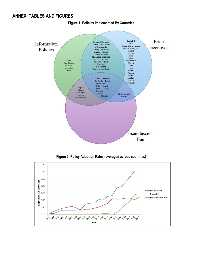# <span id="page-18-0"></span>**ANNEX: TABLES AND FIGURES**



#### **Figure 1: Policies Implemented By Countries**



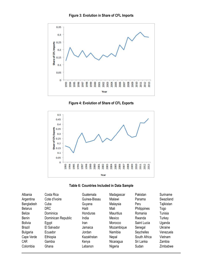



**Figure 4: Evolution of Share of CFL Exports**





| Albania         | Costa Rica         | Guatemala       | Madagascar       | Pakistan     | Suriname   |
|-----------------|--------------------|-----------------|------------------|--------------|------------|
| Argentina       | Cote d'Ivoire      | Guinea-Bissau   | Malawi           | Panama       | Swaziland  |
| Bangladesh      | Cuba               | Guyana          | Malaysia         | Peru         | Tajikistan |
| <b>Belarus</b>  | <b>DRC</b>         | Haiti           | Mali             | Philippines  | Togo       |
| <b>Belize</b>   | Dominica           | <b>Honduras</b> | <b>Mauritius</b> | Romania      | Tunisia    |
| <b>Benin</b>    | Dominican Republic | India           | Mexico           | Rwanda       | Turkey     |
| <b>Bolivia</b>  | Egypt              | Iran            | Morocco          | Saint Lucia  | Uganda     |
| Brazil          | El Salvador        | Jamaica         | Mozambique       | Senegal      | Ukraine    |
| <b>Bulgaria</b> | Ecuador            | Jordan          | Namibia          | Seychelles   | Venezuela  |
| Cape Verde      | Ethiopia           | Kazakhstan      | Nepal            | South Africa | Vietnam    |
| <b>CAR</b>      | Gambia             | Kenya           | Nicaragua        | Sri Lanka    | Zambia     |
| Colombia        | Ghana              | Lebanon         | Nigeria          | Sudan        | Zimbabwe   |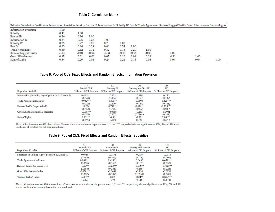## **Table 7: Correlation Matrix**

| Pairwise Correlation Coefficients Information Provision Subsidy Ban on IB Information IV Subsidy IV Ban IV Trade Agreement Ratio of Lagged Tariffs Govt. Effectiveness Sum-of-Lights |         |         |         |         |         |         |         |         |      |      |
|--------------------------------------------------------------------------------------------------------------------------------------------------------------------------------------|---------|---------|---------|---------|---------|---------|---------|---------|------|------|
| Information Provision                                                                                                                                                                | 1.00    |         |         |         |         |         |         |         |      |      |
| Subsidy                                                                                                                                                                              | 0.41    | 1.00    |         |         |         |         |         |         |      |      |
| Ban on IB                                                                                                                                                                            | 0.26    | 0.16    | 1.00    |         |         |         |         |         |      |      |
| Information IV                                                                                                                                                                       | 0.34    | 0.26    | 0.28    | 1.00    |         |         |         |         |      |      |
| Subsidy IV                                                                                                                                                                           | 0.35    | 0.27    | 0.27    | 0.73    | 1.00    |         |         |         |      |      |
| Ban IV                                                                                                                                                                               | 0.33    | 0.24    | 0.29    | 0.63    | 0.54    | 1.00    |         |         |      |      |
| Trade Agreement                                                                                                                                                                      | 0.30    | 0.12    | 0.12    | 0.32    | 0.18    | 0.29    | 1.00    |         |      |      |
| Ratio of Lagged Tariffs                                                                                                                                                              | $-0.06$ | $-0.01$ | $-0.04$ | $-0.08$ | $-0.11$ | $-0.05$ | $-0.03$ | 1.00    |      |      |
| Govt. Effectiveness                                                                                                                                                                  | 0.15    | 0.01    | $-0.01$ | 0.07    | 0.10    | 0.01    | 0.24    | $-0.21$ | 1.00 |      |
| Sum of Lights                                                                                                                                                                        | 0.34    | 0.29    | 0.04    | 0.24    | 0.21    | 0.15    | 0.08    | 0.04    | 0.04 | 1.00 |

#### **Table 8: Pooled OLS, Fixed Effects and Random Effects: Information Provision**

| Dependent Variable                                      | (1)<br>Pooled OLS<br>%Share of CFL Imports | $^{(2)}$<br>Country FE<br>%Share of CFL Imports | (3)<br>Country and Year FE<br>%Share of CFL Imports | (4)<br><b>RE</b><br>% Share of CFL Imports |
|---------------------------------------------------------|--------------------------------------------|-------------------------------------------------|-----------------------------------------------------|--------------------------------------------|
| Information (including lags of periods t-1,t-2 and t-3) | $0.466***$                                 | 0.123                                           | $-0.189$                                            | 0.156                                      |
|                                                         | (0.149)                                    | (0.134)                                         | (0.158)                                             | (0.137)                                    |
| Trade Agreement Indicator                               | $0.942***$                                 | $0.395**$                                       | 0.0693                                              | $0.425***$                                 |
|                                                         | (0.125)                                    | (0.170)                                         | (0.187)                                             | (0.161)                                    |
| Ratio of Tariffs (in period t-1)                        | $-0.234$                                   | $-0.792***$                                     | $-0.676**$                                          | $-0.725***$                                |
|                                                         | (0.153)                                    | (0.245)                                         | (0.267)                                             | (0.233)                                    |
| Government Effectiveness Indicator                      | $-0.508***$                                | $-0.0668$                                       | $-0.113$                                            | $-0.0901$                                  |
|                                                         | (0.154)                                    | (0.107)                                         | (0.0961)                                            | (0.108)                                    |
| Sum of Lights                                           | $2.92***$                                  | $-4.46$                                         | $-2.21*$                                            | $2.04***$                                  |
|                                                         | (0.396)                                    | (6.37)                                          | (1.32)                                              | (0.678)                                    |

Notes: All estimations use 480 observations. Cluster-robust standard errors in parentheses. \*,\*\* and \*\*\* respectively denote significance at 10%, 5% and 1% levels. Coefficient of constant has not been reproduced.

# **Table 9: Pooled OLS, Fixed Effects and Random Effects: Subsidies**

| Dependent Variable                                    | (1)<br>Pooled OLS<br>%Share of CFL Imports | (2)<br>Country FE<br>%Share of CFL Imports | (3)<br>Country and Year FE<br>%Share of CFL Imports | (4)<br>RE<br>% Share of CFL Imports |
|-------------------------------------------------------|--------------------------------------------|--------------------------------------------|-----------------------------------------------------|-------------------------------------|
| Subsidies (including lags of periods t-1,t-2 and t-3) | 0.0788                                     | $-0.0171$                                  | $-0.214*$                                           | $-0.0114$                           |
|                                                       | (0.145)                                    | (0.109)                                    | (0.108)                                             | (0.109)                             |
| Trade Agreement Indicator                             | $0.989***$                                 | $0.419**$                                  | 0.0430                                              | $0.452***$                          |
|                                                       | (0.126)                                    | (0.163)                                    | (0.189)                                             | (0.153)                             |
| Ratio of Tariffs (in period t-1)                      | $-0.279*$                                  | $-0.823***$                                | $-0.650**$                                          | $-0.762***$                         |
|                                                       | (0.156)                                    | (0.241)                                    | (0.266)                                             | (0.228)                             |
| Govt. Effectiveness Index                             | $-0.459***$                                | $-0.0642$                                  | $-0.114$                                            | $-0.0851$                           |
|                                                       | (0.157)                                    | (0.107)                                    | (0.0961)                                            | (0.107)                             |
| "Sum-of-Lights" Index                                 | $3.36***$                                  | $-2.69$                                    | $-2.34**$                                           | $2.217***$                          |
|                                                       | (0.40)                                     | (5.9)                                      | (0.116)                                             | (0.676)                             |

Notes: All estimations use 480 observations. Cluster-robust standard errors in parentheses. \*,\*\* and \*\*\* respectively denote significance at 10%, 5% and 1% levels. Coefficient of constant has not been reproduced.